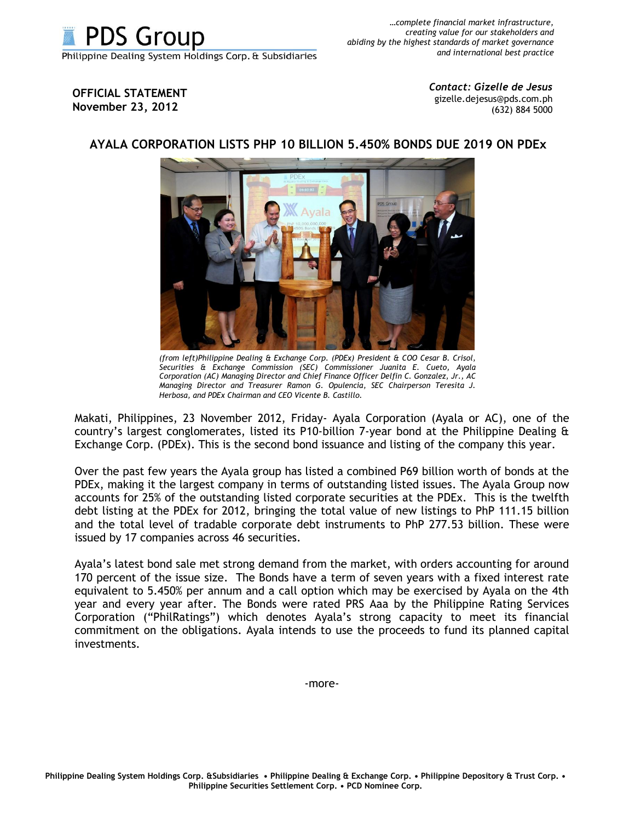

**OFFICIAL STATEMENT November 23, 2012**

*Contact: Gizelle de Jesus* gizelle.dejesus@pds.com.ph (632) 884 5000



## **AYALA CORPORATION LISTS PHP 10 BILLION 5.450% BONDS DUE 2019 ON PDEx**

*(from left)Philippine Dealing & Exchange Corp. (PDEx) President & COO Cesar B. Crisol, Securities & Exchange Commission (SEC) Commissioner Juanita E. Cueto, Ayala Corporation (AC) Managing Director and Chief Finance Officer Delfin C. Gonzalez, Jr., AC Managing Director and Treasurer Ramon G. Opulencia, SEC Chairperson Teresita J. Herbosa, and PDEx Chairman and CEO Vicente B. Castillo.* 

Makati, Philippines, 23 November 2012, Friday- Ayala Corporation (Ayala or AC), one of the country's largest conglomerates, listed its P10-billion 7-year bond at the Philippine Dealing & Exchange Corp. (PDEx). This is the second bond issuance and listing of the company this year.

Over the past few years the Ayala group has listed a combined P69 billion worth of bonds at the PDEx, making it the largest company in terms of outstanding listed issues. The Ayala Group now accounts for 25% of the outstanding listed corporate securities at the PDEx. This is the twelfth debt listing at the PDEx for 2012, bringing the total value of new listings to PhP 111.15 billion and the total level of tradable corporate debt instruments to PhP 277.53 billion. These were issued by 17 companies across 46 securities.

Ayala's latest bond sale met strong demand from the market, with orders accounting for around 170 percent of the issue size. The Bonds have a term of seven years with a fixed interest rate equivalent to 5.450% per annum and a call option which may be exercised by Ayala on the 4th year and every year after. The Bonds were rated PRS Aaa by the Philippine Rating Services Corporation ("PhilRatings") which denotes Ayala's strong capacity to meet its financial commitment on the obligations. Ayala intends to use the proceeds to fund its planned capital investments.

-more-